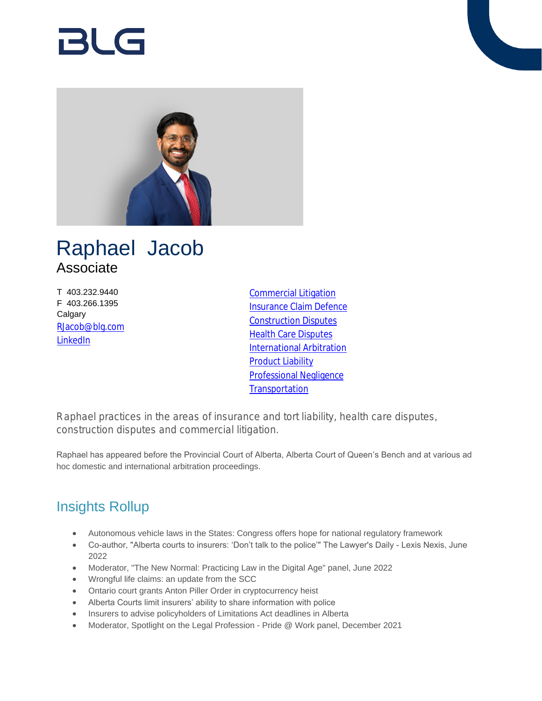# RI G



## Raphael Jacob Associate

T 403.232.9440 F 403.266.1395 **Calgary** [RJacob@blg.com](mailto:RJacob@blg.com) [LinkedIn](https://www.linkedin.com/in/raphael-jacob-0155391a9/)

[Commercial Litigation](https://www.blg.com/en/services/practice-areas/disputes/commercial-litigation) [Insurance Claim Defence](https://www.blg.com/en/services/practice-areas/disputes/insurance-claim-defence) [Construction Disputes](https://www.blg.com/en/services/practice-areas/disputes/construction-disputes) [Health Care Disputes](https://www.blg.com/en/services/practice-areas/disputes/health-care-disputes) [International Arbitration](https://www.blg.com/en/services/practice-areas/disputes/international-arbitration) [Product Liability](https://www.blg.com/en/services/practice-areas/disputes/product-liability) [Professional Negligence](https://www.blg.com/en/services/practice-areas/disputes/professional-negligence) **[Transportation](https://www.blg.com/en/services/industries/transportation)** 

Raphael practices in the areas of insurance and tort liability, health care disputes, construction disputes and commercial litigation.

Raphael has appeared before the Provincial Court of Alberta, Alberta Court of Queen's Bench and at various ad hoc domestic and international arbitration proceedings.

## Insights Rollup

- Autonomous vehicle laws in the States: Congress offers hope for national regulatory framework
- Co-author, "Alberta courts to insurers: 'Don't talk to the police'" The Lawyer's Daily Lexis Nexis, June 2022
- Moderator, "The New Normal: Practicing Law in the Digital Age" panel, June 2022
- Wrongful life claims: an update from the SCC
- Ontario court grants Anton Piller Order in cryptocurrency heist
- Alberta Courts limit insurers' ability to share information with police
- Insurers to advise policyholders of Limitations Act deadlines in Alberta
- Moderator, Spotlight on the Legal Profession Pride @ Work panel, December 2021